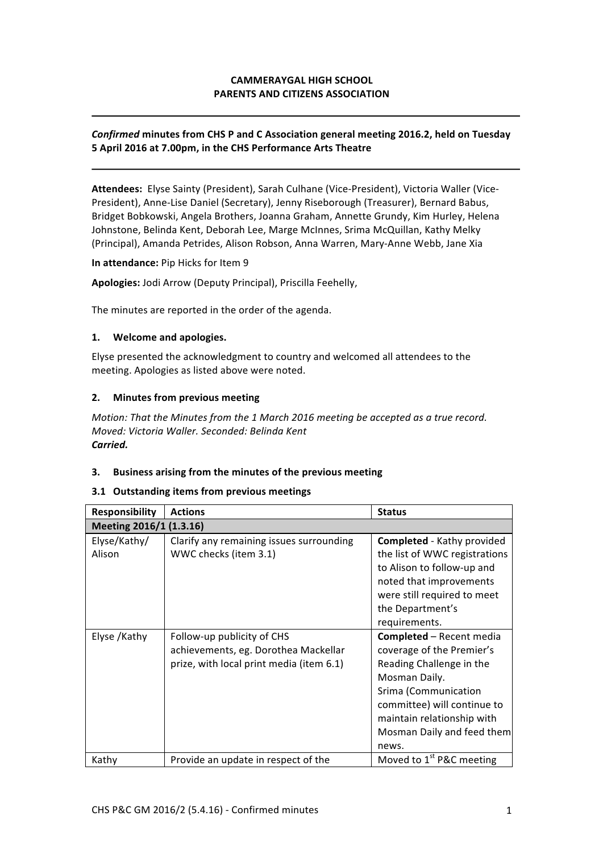# **CAMMERAYGAL HIGH SCHOOL PARENTS AND CITIZENS ASSOCIATION**

### **Confirmed minutes from CHS P and C Association general meeting 2016.2, held on Tuesday 5 April 2016 at 7.00pm, in the CHS Performance Arts Theatre**

Attendees: Elyse Sainty (President), Sarah Culhane (Vice-President), Victoria Waller (Vice-President), Anne-Lise Daniel (Secretary), Jenny Riseborough (Treasurer), Bernard Babus, Bridget Bobkowski, Angela Brothers, Joanna Graham, Annette Grundy, Kim Hurley, Helena Johnstone, Belinda Kent, Deborah Lee, Marge McInnes, Srima McQuillan, Kathy Melky (Principal), Amanda Petrides, Alison Robson, Anna Warren, Mary-Anne Webb, Jane Xia

#### **In attendance:** Pip Hicks for Item 9

#### Apologies: Jodi Arrow (Deputy Principal), Priscilla Feehelly,

The minutes are reported in the order of the agenda.

#### **1. Welcome and apologies.**

Elyse presented the acknowledgment to country and welcomed all attendees to the meeting. Apologies as listed above were noted.

### **2.** Minutes from previous meeting

*Motion: That the Minutes from the 1 March 2016 meeting be accepted as a true record. Moved: Victoria Waller. Seconded: Belinda Kent Carried.*

### **3.** Business arising from the minutes of the previous meeting

#### **3.1 Outstanding items from previous meetings**

| Responsibility          | <b>Actions</b>                                                                                                 | <b>Status</b>                                                                                                                                                                                                                         |  |
|-------------------------|----------------------------------------------------------------------------------------------------------------|---------------------------------------------------------------------------------------------------------------------------------------------------------------------------------------------------------------------------------------|--|
| Meeting 2016/1 (1.3.16) |                                                                                                                |                                                                                                                                                                                                                                       |  |
| Elyse/Kathy/<br>Alison  | Clarify any remaining issues surrounding<br>WWC checks (item 3.1)                                              | <b>Completed</b> - Kathy provided<br>the list of WWC registrations<br>to Alison to follow-up and<br>noted that improvements<br>were still required to meet<br>the Department's                                                        |  |
|                         |                                                                                                                | requirements.                                                                                                                                                                                                                         |  |
| Elyse /Kathy            | Follow-up publicity of CHS<br>achievements, eg. Dorothea Mackellar<br>prize, with local print media (item 6.1) | <b>Completed - Recent media</b><br>coverage of the Premier's<br>Reading Challenge in the<br>Mosman Daily.<br>Srima (Communication<br>committee) will continue to<br>maintain relationship with<br>Mosman Daily and feed them<br>news. |  |
| Kathy                   | Provide an update in respect of the                                                                            | Moved to 1 <sup>st</sup> P&C meeting                                                                                                                                                                                                  |  |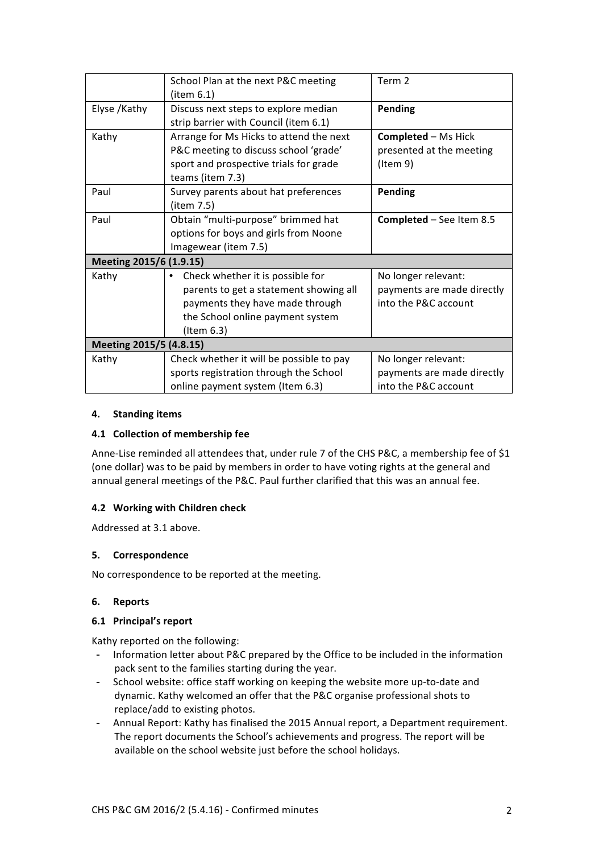|                         | School Plan at the next P&C meeting      | Term 2                          |  |
|-------------------------|------------------------------------------|---------------------------------|--|
|                         | (item 6.1)                               |                                 |  |
| Elyse /Kathy            | Discuss next steps to explore median     | <b>Pending</b>                  |  |
|                         | strip barrier with Council (item 6.1)    |                                 |  |
| Kathy                   | Arrange for Ms Hicks to attend the next  | <b>Completed - Ms Hick</b>      |  |
|                         | P&C meeting to discuss school 'grade'    | presented at the meeting        |  |
|                         | sport and prospective trials for grade   | (Item 9)                        |  |
|                         | teams (item 7.3)                         |                                 |  |
| Paul                    | Survey parents about hat preferences     | <b>Pending</b>                  |  |
|                         | (item 7.5)                               |                                 |  |
| Paul                    | Obtain "multi-purpose" brimmed hat       | <b>Completed - See Item 8.5</b> |  |
|                         | options for boys and girls from Noone    |                                 |  |
|                         | Imagewear (item 7.5)                     |                                 |  |
| Meeting 2015/6 (1.9.15) |                                          |                                 |  |
| Kathy                   | Check whether it is possible for         | No longer relevant:             |  |
|                         | parents to get a statement showing all   | payments are made directly      |  |
|                         | payments they have made through          | into the P&C account            |  |
|                         | the School online payment system         |                                 |  |
|                         | (Item 6.3)                               |                                 |  |
| Meeting 2015/5 (4.8.15) |                                          |                                 |  |
| Kathy                   | Check whether it will be possible to pay | No longer relevant:             |  |
|                         | sports registration through the School   | payments are made directly      |  |
|                         | online payment system (Item 6.3)         | into the P&C account            |  |

### **4. Standing items**

### **4.1 Collection of membership fee**

Anne-Lise reminded all attendees that, under rule 7 of the CHS P&C, a membership fee of \$1 (one dollar) was to be paid by members in order to have voting rights at the general and annual general meetings of the P&C. Paul further clarified that this was an annual fee.

# **4.2 Working with Children check**

Addressed at 3.1 above.

### **5. Correspondence**

No correspondence to be reported at the meeting.

### **6. Reports**

# **6.1 Principal's report**

Kathy reported on the following:

- Information letter about P&C prepared by the Office to be included in the information pack sent to the families starting during the year.
- School website: office staff working on keeping the website more up-to-date and dynamic. Kathy welcomed an offer that the P&C organise professional shots to replace/add to existing photos.
- Annual Report: Kathy has finalised the 2015 Annual report, a Department requirement. The report documents the School's achievements and progress. The report will be available on the school website just before the school holidays.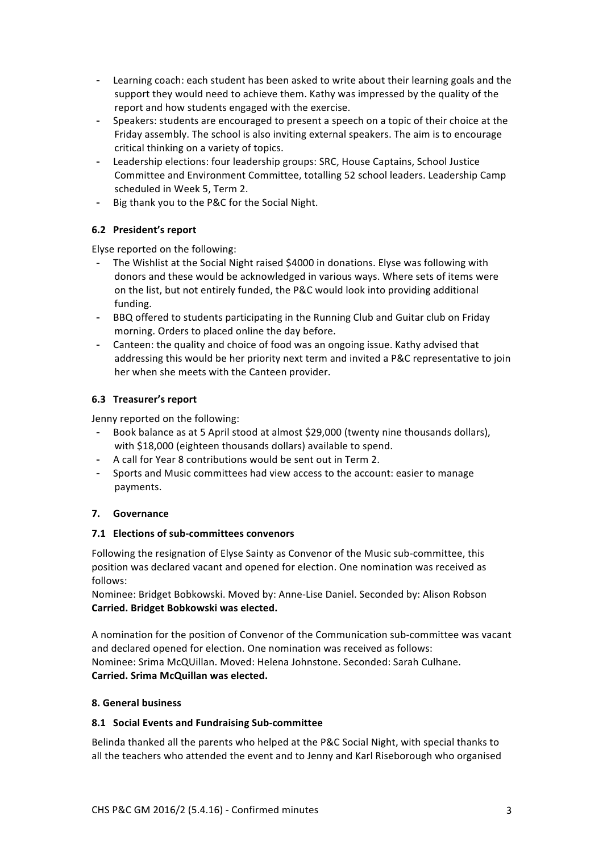- Learning coach: each student has been asked to write about their learning goals and the support they would need to achieve them. Kathy was impressed by the quality of the report and how students engaged with the exercise.
- Speakers: students are encouraged to present a speech on a topic of their choice at the Friday assembly. The school is also inviting external speakers. The aim is to encourage critical thinking on a variety of topics.
- Leadership elections: four leadership groups: SRC, House Captains, School Justice Committee and Environment Committee, totalling 52 school leaders. Leadership Camp scheduled in Week 5, Term 2.
- Big thank you to the P&C for the Social Night.

# **6.2 President's report**

Elyse reported on the following:

- The Wishlist at the Social Night raised \$4000 in donations. Elyse was following with donors and these would be acknowledged in various ways. Where sets of items were on the list, but not entirely funded, the P&C would look into providing additional funding.
- BBQ offered to students participating in the Running Club and Guitar club on Friday morning. Orders to placed online the day before.
- Canteen: the quality and choice of food was an ongoing issue. Kathy advised that addressing this would be her priority next term and invited a P&C representative to join her when she meets with the Canteen provider.

# **6.3 Treasurer's report**

Jenny reported on the following:

- Book balance as at 5 April stood at almost \$29,000 (twenty nine thousands dollars), with \$18,000 (eighteen thousands dollars) available to spend.
- A call for Year 8 contributions would be sent out in Term 2.
- Sports and Music committees had view access to the account: easier to manage payments.

# **7. Governance**

# **7.1 Elections of sub-committees convenors**

Following the resignation of Elyse Sainty as Convenor of the Music sub-committee, this position was declared vacant and opened for election. One nomination was received as follows:

Nominee: Bridget Bobkowski. Moved by: Anne-Lise Daniel. Seconded by: Alison Robson **Carried. Bridget Bobkowski was elected.**

A nomination for the position of Convenor of the Communication sub-committee was vacant and declared opened for election. One nomination was received as follows: Nominee: Srima McQUillan. Moved: Helena Johnstone. Seconded: Sarah Culhane. **Carried. Srima McQuillan was elected.**

# **8. General business**

# **8.1 Social Events and Fundraising Sub-committee**

Belinda thanked all the parents who helped at the P&C Social Night, with special thanks to all the teachers who attended the event and to Jenny and Karl Riseborough who organised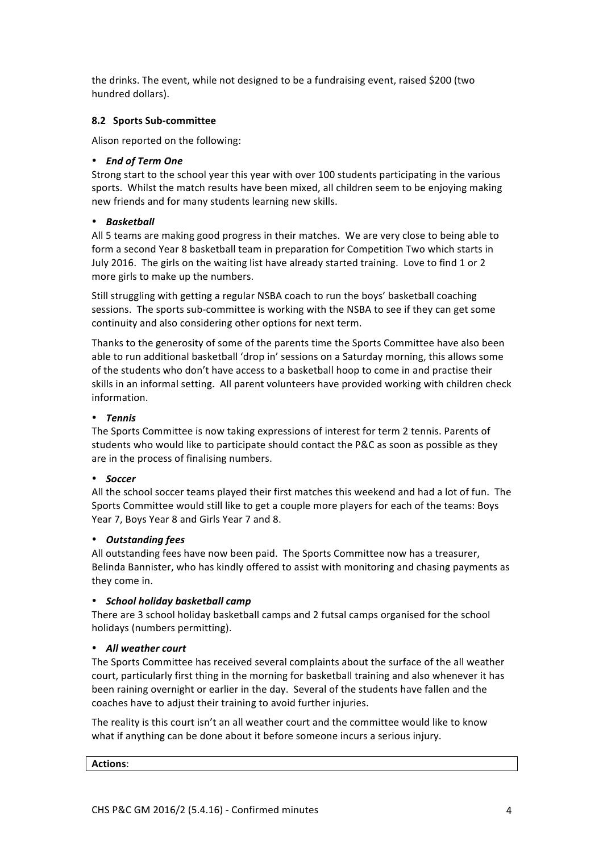the drinks. The event, while not designed to be a fundraising event, raised \$200 (two hundred dollars).

### **8.2 Sports Sub-committee**

Alison reported on the following:

### • *End of Term One*

Strong start to the school year this year with over 100 students participating in the various sports. Whilst the match results have been mixed, all children seem to be enjoying making new friends and for many students learning new skills.

### • *Basketball*

All 5 teams are making good progress in their matches. We are very close to being able to form a second Year 8 basketball team in preparation for Competition Two which starts in July 2016. The girls on the waiting list have already started training. Love to find 1 or 2 more girls to make up the numbers.

Still struggling with getting a regular NSBA coach to run the boys' basketball coaching sessions. The sports sub-committee is working with the NSBA to see if they can get some continuity and also considering other options for next term.

Thanks to the generosity of some of the parents time the Sports Committee have also been able to run additional basketball 'drop in' sessions on a Saturday morning, this allows some of the students who don't have access to a basketball hoop to come in and practise their skills in an informal setting. All parent volunteers have provided working with children check information.

### • *Tennis*

The Sports Committee is now taking expressions of interest for term 2 tennis. Parents of students who would like to participate should contact the P&C as soon as possible as they are in the process of finalising numbers.

### • *Soccer*

All the school soccer teams played their first matches this weekend and had a lot of fun. The Sports Committee would still like to get a couple more players for each of the teams: Boys Year 7, Boys Year 8 and Girls Year 7 and 8.

# • *Outstanding fees*

All outstanding fees have now been paid. The Sports Committee now has a treasurer, Belinda Bannister, who has kindly offered to assist with monitoring and chasing payments as they come in.

### • *School holiday basketball camp*

There are 3 school holiday basketball camps and 2 futsal camps organised for the school holidays (numbers permitting).

### • *All weather court*

The Sports Committee has received several complaints about the surface of the all weather court, particularly first thing in the morning for basketball training and also whenever it has been raining overnight or earlier in the day. Several of the students have fallen and the coaches have to adjust their training to avoid further injuries.

The reality is this court isn't an all weather court and the committee would like to know what if anything can be done about it before someone incurs a serious injury.

**Actions**: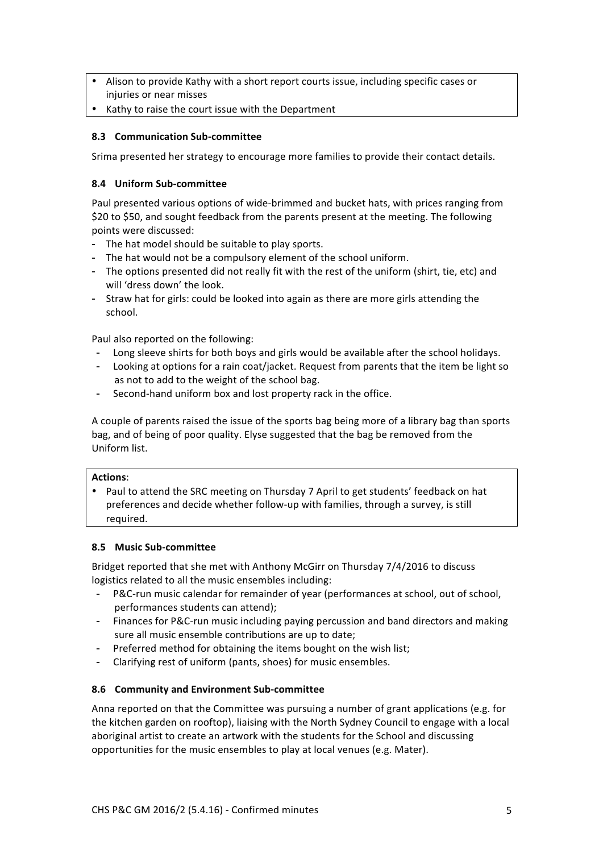- Alison to provide Kathy with a short report courts issue, including specific cases or injuries or near misses
- Kathy to raise the court issue with the Department

### **8.3 Communication Sub-committee**

Srima presented her strategy to encourage more families to provide their contact details.

### **8.4 Uniform Sub-committee**

Paul presented various options of wide-brimmed and bucket hats, with prices ranging from \$20 to \$50, and sought feedback from the parents present at the meeting. The following points were discussed:

- The hat model should be suitable to play sports.
- The hat would not be a compulsory element of the school uniform.
- The options presented did not really fit with the rest of the uniform (shirt, tie, etc) and will 'dress down' the look.
- Straw hat for girls: could be looked into again as there are more girls attending the school.

Paul also reported on the following:

- Long sleeve shirts for both boys and girls would be available after the school holidays.
- Looking at options for a rain coat/jacket. Request from parents that the item be light so as not to add to the weight of the school bag.
- Second-hand uniform box and lost property rack in the office.

A couple of parents raised the issue of the sports bag being more of a library bag than sports bag, and of being of poor quality. Elyse suggested that the bag be removed from the Uniform list.

### **Actions**:

• Paul to attend the SRC meeting on Thursday 7 April to get students' feedback on hat preferences and decide whether follow-up with families, through a survey, is still required.

### **8.5 Music Sub-committee**

Bridget reported that she met with Anthony McGirr on Thursday 7/4/2016 to discuss logistics related to all the music ensembles including:

- P&C-run music calendar for remainder of year (performances at school, out of school, performances students can attend);
- Finances for P&C-run music including paying percussion and band directors and making sure all music ensemble contributions are up to date;
- Preferred method for obtaining the items bought on the wish list;
- Clarifying rest of uniform (pants, shoes) for music ensembles.

# **8.6 Community and Environment Sub-committee**

Anna reported on that the Committee was pursuing a number of grant applications (e.g. for the kitchen garden on rooftop), liaising with the North Sydney Council to engage with a local aboriginal artist to create an artwork with the students for the School and discussing opportunities for the music ensembles to play at local venues (e.g. Mater).